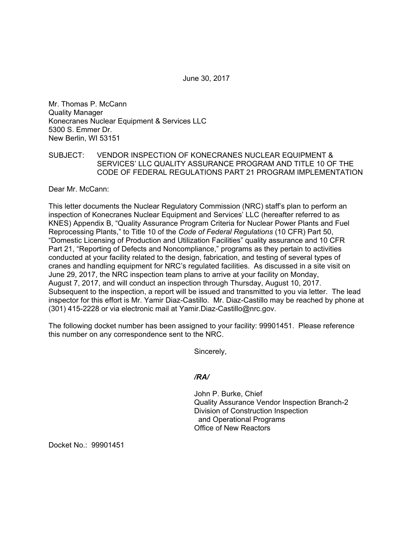June 30, 2017

Mr. Thomas P. McCann Quality Manager Konecranes Nuclear Equipment & Services LLC 5300 S. Emmer Dr. New Berlin, WI 53151

## SUBJECT: VENDOR INSPECTION OF KONECRANES NUCLEAR EQUIPMENT & SERVICES' LLC QUALITY ASSURANCE PROGRAM AND TITLE 10 OF THE CODE OF FEDERAL REGULATIONS PART 21 PROGRAM IMPLEMENTATION

Dear Mr. McCann:

This letter documents the Nuclear Regulatory Commission (NRC) staff's plan to perform an inspection of Konecranes Nuclear Equipment and Services' LLC (hereafter referred to as KNES) Appendix B, "Quality Assurance Program Criteria for Nuclear Power Plants and Fuel Reprocessing Plants," to Title 10 of the *Code of Federal Regulations* (10 CFR) Part 50, "Domestic Licensing of Production and Utilization Facilities" quality assurance and 10 CFR Part 21, "Reporting of Defects and Noncompliance," programs as they pertain to activities conducted at your facility related to the design, fabrication, and testing of several types of cranes and handling equipment for NRC's regulated facilities. As discussed in a site visit on June 29, 2017, the NRC inspection team plans to arrive at your facility on Monday, August 7, 2017, and will conduct an inspection through Thursday, August 10, 2017. Subsequent to the inspection, a report will be issued and transmitted to you via letter. The lead inspector for this effort is Mr. Yamir Diaz-Castillo. Mr. Diaz-Castillo may be reached by phone at (301) 415-2228 or via electronic mail at Yamir.Diaz-Castillo@nrc.gov.

The following docket number has been assigned to your facility: 99901451. Please reference this number on any correspondence sent to the NRC.

Sincerely,

## */RA/*

John P. Burke, Chief Quality Assurance Vendor Inspection Branch-2 Division of Construction Inspection and Operational Programs Office of New Reactors

Docket No.: 99901451